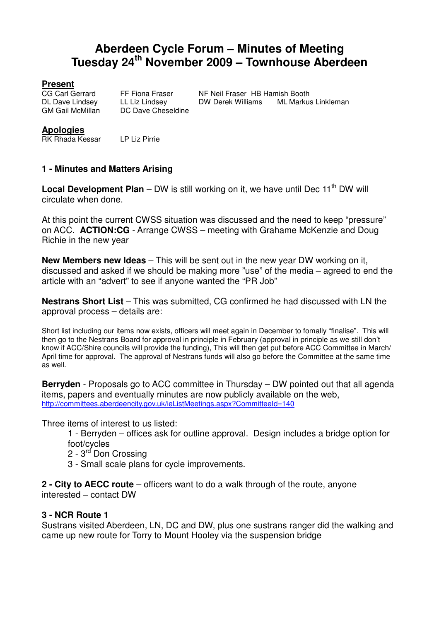# **Aberdeen Cycle Forum – Minutes of Meeting Tuesday 24th November 2009 – Townhouse Aberdeen**

**Present**  $GM$  Gail McMillan

CG Carl Gerrard FF Fiona Fraser NF Neil Fraser HB Hamish Booth<br>DL Dave Lindsev LL Liz Lindsev DW Derek Williams ML Markus LL Liz Lindsey **DW Derek Williams** ML Markus Linkleman<br>DC Dave Cheseldine

#### **Apologies**

RK Rhada Kessar LP Liz Pirrie

#### **1 - Minutes and Matters Arising**

**Local Development Plan** – DW is still working on it, we have until Dec 11<sup>th</sup> DW will circulate when done.

At this point the current CWSS situation was discussed and the need to keep "pressure" on ACC. **ACTION:CG** - Arrange CWSS – meeting with Grahame McKenzie and Doug Richie in the new year

**New Members new Ideas** – This will be sent out in the new year DW working on it, discussed and asked if we should be making more "use" of the media – agreed to end the article with an "advert" to see if anyone wanted the "PR Job"

**Nestrans Short List** – This was submitted, CG confirmed he had discussed with LN the approval process – details are:

Short list including our items now exists, officers will meet again in December to fomally "finalise". This will then go to the Nestrans Board for approval in principle in February (approval in principle as we still don't know if ACC/Shire councils will provide the funding), This will then get put before ACC Committee in March/ April time for approval. The approval of Nestrans funds will also go before the Committee at the same time as well.

**Berryden** - Proposals go to ACC committee in Thursday – DW pointed out that all agenda items, papers and eventually minutes are now publicly available on the web, http://committees.aberdeencity.gov.uk/ieListMeetings.aspx?CommitteeId=140

Three items of interest to us listed:

- 1 Berryden offices ask for outline approval. Design includes a bridge option for foot/cycles
- 2 3<sup>rd</sup> Don Crossing
- 3 Small scale plans for cycle improvements.

**2 - City to AECC route** – officers want to do a walk through of the route, anyone interested – contact DW

#### **3 - NCR Route 1**

Sustrans visited Aberdeen, LN, DC and DW, plus one sustrans ranger did the walking and came up new route for Torry to Mount Hooley via the suspension bridge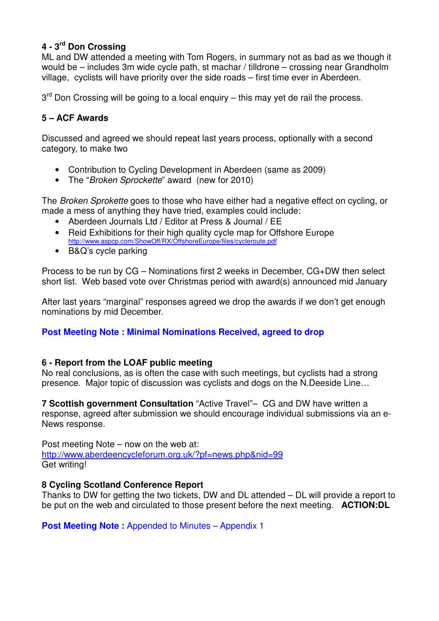### **4 - 3rd Don Crossing**

ML and DW attended a meeting with Tom Rogers, in summary not as bad as we though it would be – includes 3m wide cycle path, st machar / tilldrone – crossing near Grandholm village, cyclists will have priority over the side roads – first time ever in Aberdeen.

3<sup>rd</sup> Don Crossing will be going to a local enquiry – this may yet de rail the process.

## **5 – ACF Awards**

Discussed and agreed we should repeat last years process, optionally with a second category, to make two

- Contribution to Cycling Development in Aberdeen (same as 2009)
- The "Broken Sprockette" award (new for 2010)

The Broken Sprokette goes to those who have either had a negative effect on cycling, or made a mess of anything they have tried, examples could include:

- Aberdeen Journals Ltd / Editor at Press & Journal / EE
- Reid Exhibitions for their high quality cycle map for Offshore Europe http://www.aspcp.com/ShowOff/RX/OffshoreEurope/files/cycleroute.pdf
- B&Q's cycle parking

Process to be run by CG – Nominations first 2 weeks in December, CG+DW then select short list. Web based vote over Christmas period with award(s) announced mid January

After last years "marginal" responses agreed we drop the awards if we don't get enough nominations by mid December.

#### **Post Meeting Note : Minimal Nominations Received, agreed to drop**

#### **6 - Report from the LOAF public meeting**

No real conclusions, as is often the case with such meetings, but cyclists had a strong presence. Major topic of discussion was cyclists and dogs on the N.Deeside Line…

**7 Scottish government Consultation** "Active Travel"– CG and DW have written a response, agreed after submission we should encourage individual submissions via an e-News response.

Post meeting Note – now on the web at: http://www.aberdeencycleforum.org.uk/?pf=news.php&nid=99 Get writing!

#### **8 Cycling Scotland Conference Report**

Thanks to DW for getting the two tickets, DW and DL attended – DL will provide a report to be put on the web and circulated to those present before the next meeting. **ACTION:DL**

**Post Meeting Note: Appended to Minutes – Appendix 1**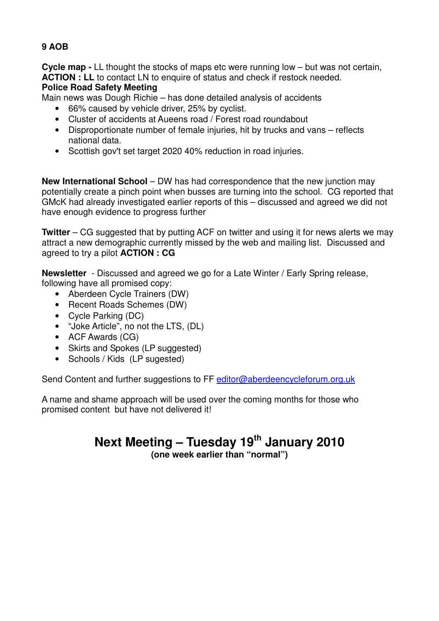# **9 AOB**

**Cycle map -** LL thought the stocks of maps etc were running low – but was not certain, **ACTION : LL** to contact LN to enquire of status and check if restock needed.

### **Police Road Safety Meeting**

Main news was Dough Richie – has done detailed analysis of accidents

- 66% caused by vehicle driver, 25% by cyclist.
- Cluster of accidents at Aueens road / Forest road roundabout
- Disproportionate number of female injuries, hit by trucks and vans reflects national data.
- Scottish gov't set target 2020 40% reduction in road injuries.

**New International School** – DW has had correspondence that the new junction may potentially create a pinch point when busses are turning into the school. CG reported that GMcK had already investigated earlier reports of this – discussed and agreed we did not have enough evidence to progress further

**Twitter** – CG suggested that by putting ACF on twitter and using it for news alerts we may attract a new demographic currently missed by the web and mailing list. Discussed and agreed to try a pilot **ACTION : CG**

**Newsletter** - Discussed and agreed we go for a Late Winter / Early Spring release, following have all promised copy:

- Aberdeen Cycle Trainers (DW)
- Recent Roads Schemes (DW)
- Cycle Parking (DC)
- "Joke Article", no not the LTS, (DL)
- ACF Awards (CG)
- Skirts and Spokes (LP suggested)
- Schools / Kids (LP sugested)

Send Content and further suggestions to FF editor@aberdeencycleforum.org.uk

A name and shame approach will be used over the coming months for those who promised content but have not delivered it!

# **Next Meeting – Tuesday 19th January 2010 (one week earlier than "normal")**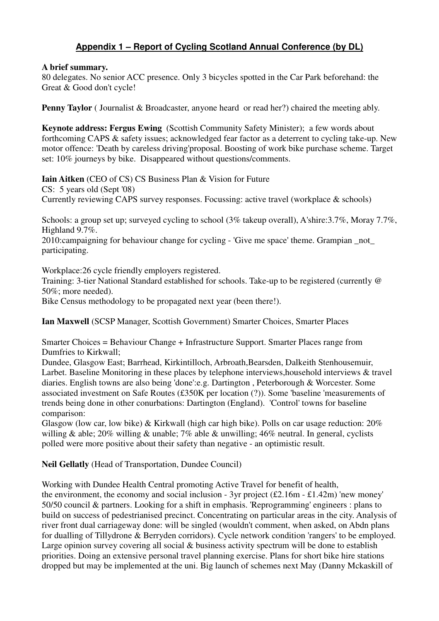## **Appendix 1 – Report of Cycling Scotland Annual Conference (by DL)**

#### **A brief summary.**

80 delegates. No senior ACC presence. Only 3 bicycles spotted in the Car Park beforehand: the Great & Good don't cycle!

**Penny Taylor** ( Journalist & Broadcaster, anyone heard or read her?) chaired the meeting ably.

**Keynote address: Fergus Ewing** (Scottish Community Safety Minister); a few words about forthcoming CAPS & safety issues; acknowledged fear factor as a deterrent to cycling take-up. New motor offence: 'Death by careless driving'proposal. Boosting of work bike purchase scheme. Target set: 10% journeys by bike. Disappeared without questions/comments.

**Iain Aitken** (CEO of CS) CS Business Plan & Vision for Future CS: 5 years old (Sept '08) Currently reviewing CAPS survey responses. Focussing: active travel (workplace & schools)

Schools: a group set up; surveyed cycling to school (3% takeup overall), A'shire:3.7%, Moray 7.7%, Highland 9.7%.

2010:campaigning for behaviour change for cycling - 'Give me space' theme. Grampian \_not\_ participating.

Workplace:26 cycle friendly employers registered.

Training: 3-tier National Standard established for schools. Take-up to be registered (currently @ 50%; more needed).

Bike Census methodology to be propagated next year (been there!).

**Ian Maxwell** (SCSP Manager, Scottish Government) Smarter Choices, Smarter Places

Smarter Choices = Behaviour Change + Infrastructure Support. Smarter Places range from Dumfries to Kirkwall;

Dundee, Glasgow East; Barrhead, Kirkintilloch, Arbroath,Bearsden, Dalkeith Stenhousemuir, Larbet. Baseline Monitoring in these places by telephone interviews,household interviews & travel diaries. English towns are also being 'done':e.g. Dartington , Peterborough & Worcester. Some associated investment on Safe Routes (£350K per location (?)). Some 'baseline 'measurements of trends being done in other conurbations: Dartington (England). 'Control' towns for baseline comparison:

Glasgow (low car, low bike) & Kirkwall (high car high bike). Polls on car usage reduction: 20% willing & able; 20% willing & unable; 7% able & unwilling; 46% neutral. In general, cyclists polled were more positive about their safety than negative - an optimistic result.

**Neil Gellatly** (Head of Transportation, Dundee Council)

Working with Dundee Health Central promoting Active Travel for benefit of health,

the environment, the economy and social inclusion - 3yr project  $(\text{\pounds}2.16m - \text{\pounds}1.42m)$  'new money' 50/50 council & partners. Looking for a shift in emphasis. 'Reprogramming' engineers : plans to build on success of pedestrianised precinct. Concentrating on particular areas in the city. Analysis of river front dual carriageway done: will be singled (wouldn't comment, when asked, on Abdn plans for dualling of Tillydrone & Berryden corridors). Cycle network condition 'rangers' to be employed. Large opinion survey covering all social & business activity spectrum will be done to establish priorities. Doing an extensive personal travel planning exercise. Plans for short bike hire stations dropped but may be implemented at the uni. Big launch of schemes next May (Danny Mckaskill of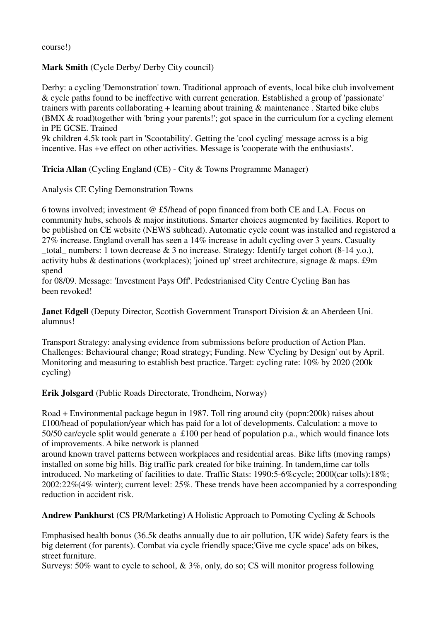course!)

#### **Mark Smith** (Cycle Derby/ Derby City council)

Derby: a cycling 'Demonstration' town. Traditional approach of events, local bike club involvement & cycle paths found to be ineffective with current generation. Established a group of 'passionate' trainers with parents collaborating + learning about training & maintenance . Started bike clubs (BMX & road)together with 'bring your parents!'; got space in the curriculum for a cycling element in PE GCSE. Trained

9k children 4.5k took part in 'Scootability'. Getting the 'cool cycling' message across is a big incentive. Has +ve effect on other activities. Message is 'cooperate with the enthusiasts'.

**Tricia Allan** (Cycling England (CE) - City & Towns Programme Manager)

Analysis CE Cyling Demonstration Towns

6 towns involved; investment @ £5/head of popn financed from both CE and LA. Focus on community hubs, schools & major institutions. Smarter choices augmented by facilities. Report to be published on CE website (NEWS subhead). Automatic cycle count was installed and registered a 27% increase. England overall has seen a 14% increase in adult cycling over 3 years. Casualty total numbers: 1 town decrease  $& 3$  no increase. Strategy: Identify target cohort (8-14 y.o.), activity hubs & destinations (workplaces); 'joined up' street architecture, signage & maps. £9m spend

for 08/09. Message: 'Investment Pays Off'. Pedestrianised City Centre Cycling Ban has been revoked!

**Janet Edgell** (Deputy Director, Scottish Government Transport Division & an Aberdeen Uni. alumnus!

Transport Strategy: analysing evidence from submissions before production of Action Plan. Challenges: Behavioural change; Road strategy; Funding. New 'Cycling by Design' out by April. Monitoring and measuring to establish best practice. Target: cycling rate: 10% by 2020 (200k cycling)

**Erik Jolsgard** (Public Roads Directorate, Trondheim, Norway)

Road + Environmental package begun in 1987. Toll ring around city (popn:200k) raises about £100/head of population/year which has paid for a lot of developments. Calculation: a move to 50/50 car/cycle split would generate a £100 per head of population p.a., which would finance lots of improvements. A bike network is planned

around known travel patterns between workplaces and residential areas. Bike lifts (moving ramps) installed on some big hills. Big traffic park created for bike training. In tandem,time car tolls introduced. No marketing of facilities to date. Traffic Stats: 1990:5-6%cycle; 2000(car tolls):18%; 2002:22%(4% winter); current level: 25%. These trends have been accompanied by a corresponding reduction in accident risk.

**Andrew Pankhurst** (CS PR/Marketing) A Holistic Approach to Pomoting Cycling & Schools

Emphasised health bonus (36.5k deaths annually due to air pollution, UK wide) Safety fears is the big deterrent (for parents). Combat via cycle friendly space;'Give me cycle space' ads on bikes, street furniture.

Surveys: 50% want to cycle to school, & 3%, only, do so; CS will monitor progress following